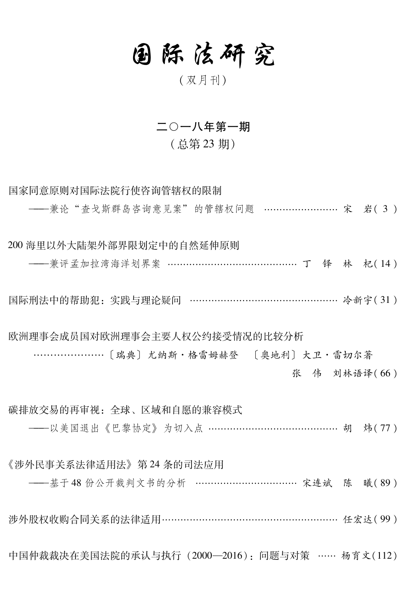## 国际法研究

(双月刊)

## 二〇一八年第一期

## (总第23期)

国家同意原则对国际法院行使咨询管辖权的限制

--------兼论"杳戈斯群岛咨询意见案"的管辖权问题 ……………………… 宋 岩(3)

200 海里以外大陆架外部界限划定中的自然延伸原则

——兼评孟加拉湾海洋划界案 ……………………………………… 丁 铎 林 杞(14)

国际刑法中的帮助犯: 实践与理论疑问 ………………………………………… 冷新字(31)

欧洲理事会成员国对欧洲理事会主要人权公约接受情况的比较分析 张 伟 刘林语译(66)

碳排放交易的再审视: 全球、区域和自愿的兼容模式 ——以美国退出《巴黎协定》 为切入点 ……………………………………… 胡 炜(77) 《涉外民事关系法律适用法》第24条的司法应用 ----基于48份公开裁判文书的分析 ……………………………… 宋连斌 陈 曦(89)

洗外股权收购合同关系的法律活用………………………………………………… 任宏达(99)

中国仲裁裁决在美国法院的承认与执行 (2000—2016): 问题与对策 …… 杨育文(112)